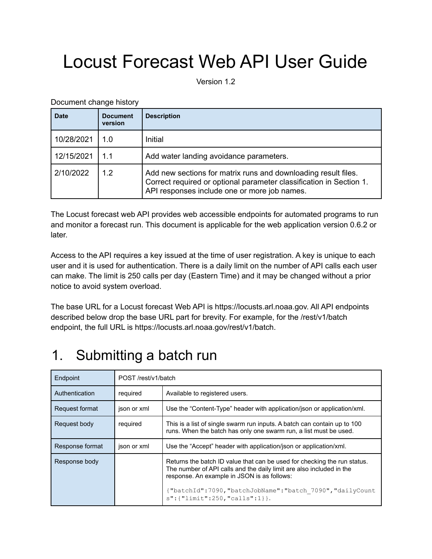# Locust Forecast Web API User Guide

Version 1.2

Document change history

| <b>Date</b> | <b>Document</b><br>version | <b>Description</b>                                                                                                                                                                    |
|-------------|----------------------------|---------------------------------------------------------------------------------------------------------------------------------------------------------------------------------------|
| 10/28/2021  | 1.0                        | Initial                                                                                                                                                                               |
| 12/15/2021  | 1.1                        | Add water landing avoidance parameters.                                                                                                                                               |
| 2/10/2022   | 1.2                        | Add new sections for matrix runs and downloading result files.<br>Correct required or optional parameter classification in Section 1.<br>API responses include one or more job names. |

The Locust forecast web API provides web accessible endpoints for automated programs to run and monitor a forecast run. This document is applicable for the web application version 0.6.2 or later.

Access to the API requires a key issued at the time of user registration. A key is unique to each user and it is used for authentication. There is a daily limit on the number of API calls each user can make. The limit is 250 calls per day (Eastern Time) and it may be changed without a prior notice to avoid system overload.

The base URL for a Locust forecast Web API is https://locusts.arl.noaa.gov. All API endpoints described below drop the base URL part for brevity. For example, for the /rest/v1/batch endpoint, the full URL is https://locusts.arl.noaa.gov/rest/v1/batch.

# 1. Submitting a batch run

| Endpoint        | POST /rest/v1/batch |                                                                                                                                                                                                 |  |
|-----------------|---------------------|-------------------------------------------------------------------------------------------------------------------------------------------------------------------------------------------------|--|
| Authentication  | required            | Available to registered users.                                                                                                                                                                  |  |
| Request format  | json or xml         | Use the "Content-Type" header with application/json or application/xml.                                                                                                                         |  |
| Request body    | required            | This is a list of single swarm run inputs. A batch can contain up to 100<br>runs. When the batch has only one swarm run, a list must be used.                                                   |  |
| Response format | json or xml         | Use the "Accept" header with application/json or application/xml.                                                                                                                               |  |
| Response body   |                     | Returns the batch ID value that can be used for checking the run status.<br>The number of API calls and the daily limit are also included in the<br>response. An example in JSON is as follows: |  |
|                 |                     | {"batchId":7090,"batchJobName":"batch 7090","dailyCount<br>$s$ ": {"limit": 250, "calls": 1} }.                                                                                                 |  |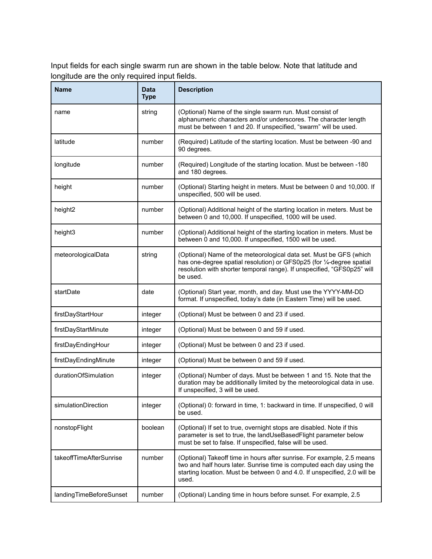Input fields for each single swarm run are shown in the table below. Note that latitude and longitude are the only required input fields.

| <b>Name</b>             | <b>Data</b><br><b>Type</b> | <b>Description</b>                                                                                                                                                                                                                    |
|-------------------------|----------------------------|---------------------------------------------------------------------------------------------------------------------------------------------------------------------------------------------------------------------------------------|
| name                    | string                     | (Optional) Name of the single swarm run. Must consist of<br>alphanumeric characters and/or underscores. The character length<br>must be between 1 and 20. If unspecified, "swarm" will be used.                                       |
| latitude                | number                     | (Required) Latitude of the starting location. Must be between -90 and<br>90 degrees.                                                                                                                                                  |
| longitude               | number                     | (Required) Longitude of the starting location. Must be between -180<br>and 180 degrees.                                                                                                                                               |
| height                  | number                     | (Optional) Starting height in meters. Must be between 0 and 10,000. If<br>unspecified, 500 will be used.                                                                                                                              |
| height <sub>2</sub>     | number                     | (Optional) Additional height of the starting location in meters. Must be<br>between 0 and 10,000. If unspecified, 1000 will be used.                                                                                                  |
| height3                 | number                     | (Optional) Additional height of the starting location in meters. Must be<br>between 0 and 10,000. If unspecified, 1500 will be used.                                                                                                  |
| meteorologicalData      | string                     | (Optional) Name of the meteorological data set. Must be GFS (which<br>has one-degree spatial resolution) or GFS0p25 (for 1/4-degree spatial<br>resolution with shorter temporal range). If unspecified, "GFS0p25" will<br>be used.    |
| startDate               | date                       | (Optional) Start year, month, and day. Must use the YYYY-MM-DD<br>format. If unspecified, today's date (in Eastern Time) will be used.                                                                                                |
| firstDayStartHour       | integer                    | (Optional) Must be between 0 and 23 if used.                                                                                                                                                                                          |
| firstDayStartMinute     | integer                    | (Optional) Must be between 0 and 59 if used.                                                                                                                                                                                          |
| firstDayEndingHour      | integer                    | (Optional) Must be between 0 and 23 if used.                                                                                                                                                                                          |
| firstDayEndingMinute    | integer                    | (Optional) Must be between 0 and 59 if used.                                                                                                                                                                                          |
| durationOfSimulation    | integer                    | (Optional) Number of days. Must be between 1 and 15. Note that the<br>duration may be additionally limited by the meteorological data in use.<br>If unspecified, 3 will be used.                                                      |
| simulationDirection     | integer                    | (Optional) 0: forward in time, 1: backward in time. If unspecified, 0 will<br>be used.                                                                                                                                                |
| nonstopFlight           | boolean                    | (Optional) If set to true, overnight stops are disabled. Note if this<br>parameter is set to true, the landUseBasedFlight parameter below<br>must be set to false. If unspecified, false will be used.                                |
| takeoffTimeAfterSunrise | number                     | (Optional) Takeoff time in hours after sunrise. For example, 2.5 means<br>two and half hours later. Sunrise time is computed each day using the<br>starting location. Must be between 0 and 4.0. If unspecified, 2.0 will be<br>used. |
| landingTimeBeforeSunset | number                     | (Optional) Landing time in hours before sunset. For example, 2.5                                                                                                                                                                      |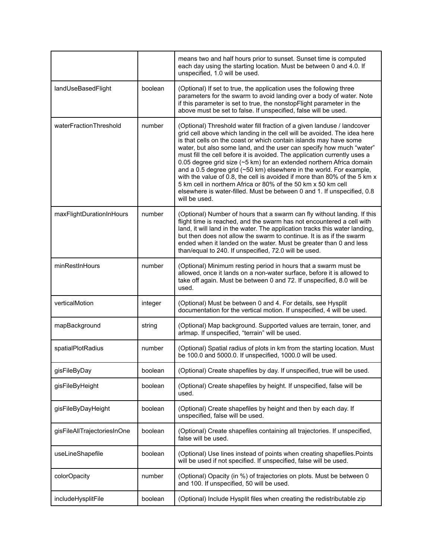|                             |         | means two and half hours prior to sunset. Sunset time is computed<br>each day using the starting location. Must be between 0 and 4.0. If<br>unspecified, 1.0 will be used.                                                                                                                                                                                                                                                                                                                                                                                                                                                                                                                                                                                             |
|-----------------------------|---------|------------------------------------------------------------------------------------------------------------------------------------------------------------------------------------------------------------------------------------------------------------------------------------------------------------------------------------------------------------------------------------------------------------------------------------------------------------------------------------------------------------------------------------------------------------------------------------------------------------------------------------------------------------------------------------------------------------------------------------------------------------------------|
| landUseBasedFlight          | boolean | (Optional) If set to true, the application uses the following three<br>parameters for the swarm to avoid landing over a body of water. Note<br>if this parameter is set to true, the nonstopFlight parameter in the<br>above must be set to false. If unspecified, false will be used.                                                                                                                                                                                                                                                                                                                                                                                                                                                                                 |
| waterFractionThreshold      | number  | (Optional) Threshold water fill fraction of a given landuse / landcover<br>grid cell above which landing in the cell will be avoided. The idea here<br>is that cells on the coast or which contain islands may have some<br>water, but also some land, and the user can specify how much "water"<br>must fill the cell before it is avoided. The application currently uses a<br>0.05 degree grid size (~5 km) for an extended northern Africa domain<br>and a 0.5 degree grid (~50 km) elsewhere in the world. For example,<br>with the value of 0.8, the cell is avoided if more than 80% of the 5 km x<br>5 km cell in northern Africa or 80% of the 50 km x 50 km cell<br>elsewhere is water-filled. Must be between 0 and 1. If unspecified, 0.8<br>will be used. |
| maxFlightDurationInHours    | number  | (Optional) Number of hours that a swarm can fly without landing. If this<br>flight time is reached, and the swarm has not encountered a cell with<br>land, it will land in the water. The application tracks this water landing,<br>but then does not allow the swarm to continue. It is as if the swarm<br>ended when it landed on the water. Must be greater than 0 and less<br>than/equal to 240. If unspecified, 72.0 will be used.                                                                                                                                                                                                                                                                                                                                |
| minRestInHours              | number  | (Optional) Minimum resting period in hours that a swarm must be<br>allowed, once it lands on a non-water surface, before it is allowed to<br>take off again. Must be between 0 and 72. If unspecified, 8.0 will be<br>used.                                                                                                                                                                                                                                                                                                                                                                                                                                                                                                                                            |
| verticalMotion              | integer | (Optional) Must be between 0 and 4. For details, see Hysplit<br>documentation for the vertical motion. If unspecified, 4 will be used.                                                                                                                                                                                                                                                                                                                                                                                                                                                                                                                                                                                                                                 |
| mapBackground               | string  | (Optional) Map background. Supported values are terrain, toner, and<br>arlmap. If unspecified, "terrain" will be used.                                                                                                                                                                                                                                                                                                                                                                                                                                                                                                                                                                                                                                                 |
| spatialPlotRadius           | number  | (Optional) Spatial radius of plots in km from the starting location. Must<br>be 100.0 and 5000.0. If unspecified, 1000.0 will be used.                                                                                                                                                                                                                                                                                                                                                                                                                                                                                                                                                                                                                                 |
| gisFileByDay                | boolean | (Optional) Create shapefiles by day. If unspecified, true will be used.                                                                                                                                                                                                                                                                                                                                                                                                                                                                                                                                                                                                                                                                                                |
| gisFileByHeight             | boolean | (Optional) Create shapefiles by height. If unspecified, false will be<br>used.                                                                                                                                                                                                                                                                                                                                                                                                                                                                                                                                                                                                                                                                                         |
| gisFileByDayHeight          | boolean | (Optional) Create shapefiles by height and then by each day. If<br>unspecified, false will be used.                                                                                                                                                                                                                                                                                                                                                                                                                                                                                                                                                                                                                                                                    |
| gisFileAllTrajectoriesInOne | boolean | (Optional) Create shapefiles containing all trajectories. If unspecified,<br>false will be used.                                                                                                                                                                                                                                                                                                                                                                                                                                                                                                                                                                                                                                                                       |
| useLineShapefile            | boolean | (Optional) Use lines instead of points when creating shapefiles. Points<br>will be used if not specified. If unspecified, false will be used.                                                                                                                                                                                                                                                                                                                                                                                                                                                                                                                                                                                                                          |
| colorOpacity                | number  | (Optional) Opacity (in %) of trajectories on plots. Must be between 0<br>and 100. If unspecified, 50 will be used.                                                                                                                                                                                                                                                                                                                                                                                                                                                                                                                                                                                                                                                     |
| includeHysplitFile          | boolean | (Optional) Include Hysplit files when creating the redistributable zip                                                                                                                                                                                                                                                                                                                                                                                                                                                                                                                                                                                                                                                                                                 |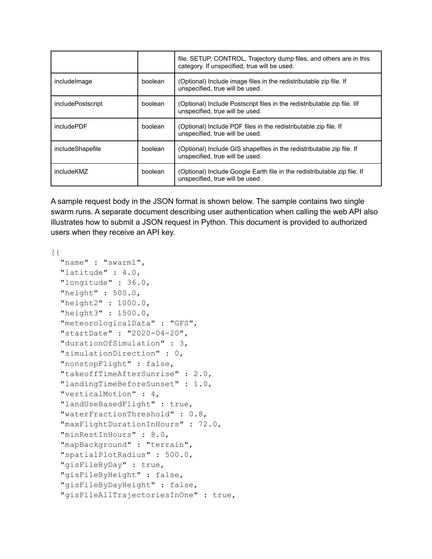|                   |         | file. SETUP, CONTROL, Trajectory dump files, and others are in this<br>category. If unspecified, true will be used. |
|-------------------|---------|---------------------------------------------------------------------------------------------------------------------|
| include mage      | boolean | (Optional) Include image files in the redistributable zip file. If<br>unspecified, true will be used.               |
| includePostscript | boolean | (Optional) Include Postscript files in the redistributable zip file. Ilf<br>unspecified, true will be used.         |
| includePDF        | boolean | (Optional) Include PDF files in the redistributable zip file. If<br>unspecified, true will be used.                 |
| includeShapefile  | boolean | (Optional) Include GIS shapefiles in the redistributable zip file. If<br>unspecified, true will be used.            |
| includeKMZ        | boolean | (Optional) Include Google Earth file in the redistributable zip file. If<br>unspecified, true will be used.         |

A sample request body in the JSON format is shown below. The sample contains two single swarm runs. A separate document describing user authentication when calling the web API also illustrates how to submit a JSON request in Python. This document is provided to authorized users when they receive an API key.

```
[{
```

```
"name" : "swarm1",
"latitude" : 4.0,
"longitude" : 36.0,
"height" : 500.0,
"height2" : 1000.0,
"height3" : 1500.0,
"meteorologicalData" : "GFS",
"startDate" : "2020-04-20",
"durationOfSimulation" : 3,
"simulationDirection" : 0,
"nonstopFlight" : false,
"takeoffTimeAfterSunrise" : 2.0,
"landingTimeBeforeSunset" : 1.0,
"verticalMotion" : 4,
"landUseBasedFlight" : true,
"waterFractionThreshold" : 0.8,
"maxFlightDurationInHours" : 72.0,
"minRestInHours" : 8.0,
"mapBackground" : "terrain",
"spatialPlotRadius" : 500.0,
"gisFileByDay" : true,
"gisFileByHeight" : false,
"gisFileByDayHeight" : false,
"gisFileAllTrajectoriesInOne" : true,
```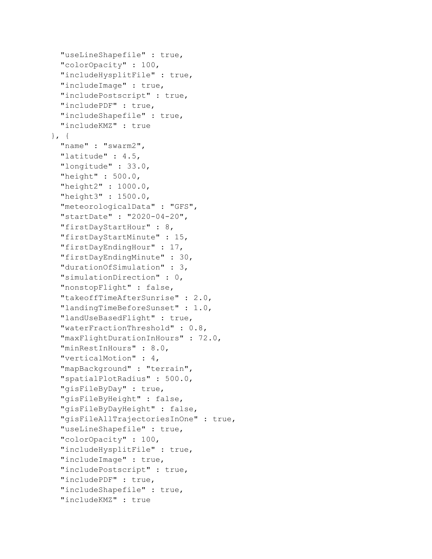```
"useLineShapefile" : true,
  "colorOpacity" : 100,
  "includeHysplitFile" : true,
  "includeImage" : true,
  "includePostscript" : true,
  "includePDF" : true,
  "includeShapefile" : true,
 "includeKMZ" : true
}, {
  "name" : "swarm2",
 "latitude" : 4.5,
  "longitude" : 33.0,
  "height" : 500.0,
  "height2" : 1000.0,
  "height3" : 1500.0,
  "meteorologicalData" : "GFS",
  "startDate" : "2020-04-20",
  "firstDayStartHour" : 8,
  "firstDayStartMinute" : 15,
 "firstDayEndingHour" : 17,
  "firstDayEndingMinute" : 30,
 "durationOfSimulation" : 3,
  "simulationDirection" : 0,
  "nonstopFlight" : false,
  "takeoffTimeAfterSunrise" : 2.0,
  "landingTimeBeforeSunset" : 1.0,
  "landUseBasedFlight" : true,
  "waterFractionThreshold" : 0.8,
  "maxFlightDurationInHours" : 72.0,
  "minRestInHours" : 8.0,
  "verticalMotion" : 4,
  "mapBackground" : "terrain",
  "spatialPlotRadius" : 500.0,
  "gisFileByDay" : true,
  "gisFileByHeight" : false,
  "gisFileByDayHeight" : false,
  "gisFileAllTrajectoriesInOne" : true,
  "useLineShapefile" : true,
  "colorOpacity" : 100,
  "includeHysplitFile" : true,
  "includeImage" : true,
  "includePostscript" : true,
  "includePDF" : true,
  "includeShapefile" : true,
  "includeKMZ" : true
```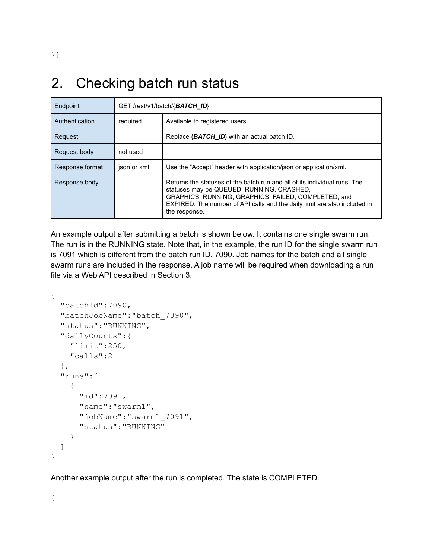# 2. Checking batch run status

| Endpoint        | GET /rest/v1/batch/{BATCH_ID} |                                                                                                                                                                                                                                                                           |  |
|-----------------|-------------------------------|---------------------------------------------------------------------------------------------------------------------------------------------------------------------------------------------------------------------------------------------------------------------------|--|
| Authentication  | required                      | Available to registered users.                                                                                                                                                                                                                                            |  |
| Request         |                               | Replace $\{BATCH\ ID\}$ with an actual batch ID.                                                                                                                                                                                                                          |  |
| Request body    | not used                      |                                                                                                                                                                                                                                                                           |  |
| Response format | json or xml                   | Use the "Accept" header with application/json or application/xml.                                                                                                                                                                                                         |  |
| Response body   |                               | Returns the statuses of the batch run and all of its individual runs. The<br>statuses may be QUEUED, RUNNING, CRASHED,<br>GRAPHICS RUNNING, GRAPHICS FAILED, COMPLETED, and<br>EXPIRED. The number of API calls and the daily limit are also included in<br>the response. |  |

An example output after submitting a batch is shown below. It contains one single swarm run. The run is in the RUNNING state. Note that, in the example, the run ID for the single swarm run is 7091 which is different from the batch run ID, 7090. Job names for the batch and all single swarm runs are included in the response. A job name will be required when downloading a run file via a Web API described in Section 3.

```
{
  "batchId":7090,
  "batchJobName":"batch_7090",
  "status":"RUNNING",
  "dailyCounts":{
    "limit":250,
    "calls":2
  },
  "runs":[
    {
      "id":7091,
      "name":"swarm1",
      "jobName":"swarm1_7091",
      "status":"RUNNING"
    }
  ]
}
```
Another example output after the run is completed. The state is COMPLETED.

{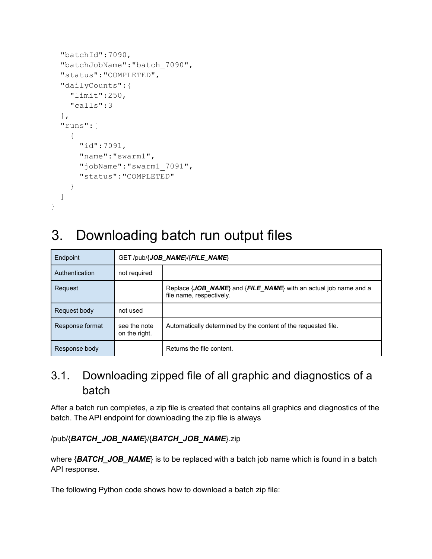```
"batchId":7090,
"batchJobName":"batch_7090",
"status":"COMPLETED",
"dailyCounts":{
  "limit":250,
  "calls":3
},
"runs":[
  {
    "id":7091,
    "name":"swarm1",
    "jobName":"swarm1_7091",
    "status":"COMPLETED"
  }
]
```
}

# 3. Downloading batch run output files

| Endpoint        | GET/pub/{JOB NAME}/{FILE NAME} |                                                                                                                      |  |
|-----------------|--------------------------------|----------------------------------------------------------------------------------------------------------------------|--|
| Authentication  | not required                   |                                                                                                                      |  |
| Request         |                                | Replace $\{JOB \text{ NAME}\}$ and $\{FILE \text{ NAME}\}$ with an actual job name and a<br>file name, respectively. |  |
| Request body    | not used                       |                                                                                                                      |  |
| Response format | see the note<br>on the right.  | Automatically determined by the content of the requested file.                                                       |  |
| Response body   |                                | Returns the file content.                                                                                            |  |

### 3.1. Downloading zipped file of all graphic and diagnostics of a batch

After a batch run completes, a zip file is created that contains all graphics and diagnostics of the batch. The API endpoint for downloading the zip file is always

#### /pub/{*BATCH\_JOB\_NAME*}/{*BATCH\_JOB\_NAME*}.zip

where {**BATCH** JOB NAME} is to be replaced with a batch job name which is found in a batch API response.

The following Python code shows how to download a batch zip file: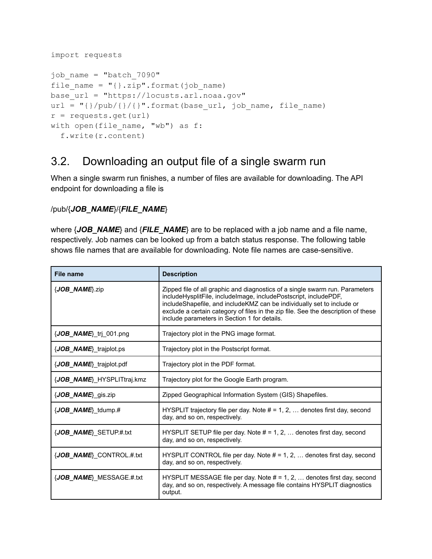```
import requests
job_name = "batch_7090"
file name = "{}}.zip".format(job name)
base_url = "https://locusts.arl.noaa.gov"
url = "\{\} /pub/\{\} / \{\}".format (base url, job name, file name)
r = requests.get(url)
with open(file name, "wb") as f:
  f.write(r.content)
```
#### 3.2. Downloading an output file of a single swarm run

When a single swarm run finishes, a number of files are available for downloading. The API endpoint for downloading a file is

#### /pub/{*JOB\_NAME*}/{*FILE\_NAME*}

where {*JOB\_NAME*} and {*FILE\_NAME*} are to be replaced with a job name and a file name, respectively. Job names can be looked up from a batch status response. The following table shows file names that are available for downloading. Note file names are case-sensitive.

| <b>File name</b>                    | <b>Description</b>                                                                                                                                                                                                                                                                                                                                              |
|-------------------------------------|-----------------------------------------------------------------------------------------------------------------------------------------------------------------------------------------------------------------------------------------------------------------------------------------------------------------------------------------------------------------|
| {JOB_NAME}.zip                      | Zipped file of all graphic and diagnostics of a single swarm run. Parameters<br>includeHysplitFile, includeImage, includePostscript, includePDF,<br>includeShapefile, and includeKMZ can be individually set to include or<br>exclude a certain category of files in the zip file. See the description of these<br>include parameters in Section 1 for details. |
| $\{JOB \text{ NAME}\}\$ tri 001.png | Trajectory plot in the PNG image format.                                                                                                                                                                                                                                                                                                                        |
| {JOB_NAME}_trajplot.ps              | Trajectory plot in the Postscript format.                                                                                                                                                                                                                                                                                                                       |
| {JOB NAME} trajplot.pdf             | Trajectory plot in the PDF format.                                                                                                                                                                                                                                                                                                                              |
| {JOB NAME} HYSPLITtraj.kmz          | Trajectory plot for the Google Earth program.                                                                                                                                                                                                                                                                                                                   |
| $\{JOB \text{ NAME}\}$ gis.zip      | Zipped Geographical Information System (GIS) Shapefiles.                                                                                                                                                                                                                                                                                                        |
| $\{JOB \text{ NAME}\}$ tdump.#      | HYSPLIT trajectory file per day. Note $# = 1, 2, $ denotes first day, second<br>day, and so on, respectively.                                                                                                                                                                                                                                                   |
| {JOB_NAME}_SETUP.#.txt              | HYSPLIT SETUP file per day. Note $# = 1, 2, $ denotes first day, second<br>day, and so on, respectively.                                                                                                                                                                                                                                                        |
| {JOB_NAME}_CONTROL.#.txt            | HYSPLIT CONTROL file per day. Note $# = 1, 2, \ldots$ denotes first day, second<br>day, and so on, respectively.                                                                                                                                                                                                                                                |
| {JOB_NAME}_MESSAGE.#.txt            | HYSPLIT MESSAGE file per day. Note $# = 1, 2, \ldots$ denotes first day, second<br>day, and so on, respectively. A message file contains HYSPLIT diagnostics<br>output.                                                                                                                                                                                         |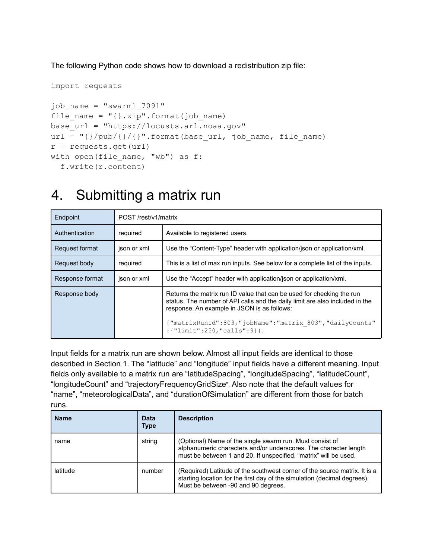The following Python code shows how to download a redistribution zip file:

```
import requests
job_name = "swarm1_7091"
file_name = "{}{ }.zip".format(job_name)
base_url = "https://locusts.arl.noaa.gov"
url = "{\ }/\text{pub}/{\{}'}{\ }.format(base url, job name, file name)
r = \text{requests.get(url)}with open(file name, "wb") as f:
  f.write(r.content)
```
### 4. Submitting a matrix run

| Endpoint        | POST/rest/v1/matrix |                                                                                                                                                                                                      |  |
|-----------------|---------------------|------------------------------------------------------------------------------------------------------------------------------------------------------------------------------------------------------|--|
| Authentication  | required            | Available to registered users.                                                                                                                                                                       |  |
| Request format  | json or xml         | Use the "Content-Type" header with application/json or application/xml.                                                                                                                              |  |
| Request body    | required            | This is a list of max run inputs. See below for a complete list of the inputs.                                                                                                                       |  |
| Response format | json or xml         | Use the "Accept" header with application/json or application/xml.                                                                                                                                    |  |
| Response body   |                     | Returns the matrix run ID value that can be used for checking the run<br>status. The number of API calls and the daily limit are also included in the<br>response. An example in JSON is as follows: |  |
|                 |                     | {"matrixRunId":803,"jobName":"matrix 803","dailyCounts"<br>: {"limit":250, "calls":9} }.                                                                                                             |  |

Input fields for a matrix run are shown below. Almost all input fields are identical to those described in Section 1. The "latitude" and "longitude" input fields have a different meaning. Input fields only available to a matrix run are "latitudeSpacing", "longitudeSpacing", "latitudeCount", "longitudeCount" and "trajectoryFrequencyGridSize". Also note that the default values for "name", "meteorologicalData", and "durationOfSimulation" are different from those for batch runs.

| <b>Name</b> | Data<br><b>Type</b> | <b>Description</b>                                                                                                                                                                               |
|-------------|---------------------|--------------------------------------------------------------------------------------------------------------------------------------------------------------------------------------------------|
| name        | string              | (Optional) Name of the single swarm run. Must consist of<br>alphanumeric characters and/or underscores. The character length<br>must be between 1 and 20. If unspecified, "matrix" will be used. |
| latitude    | number              | (Required) Latitude of the southwest corner of the source matrix. It is a<br>starting location for the first day of the simulation (decimal degrees).<br>Must be between -90 and 90 degrees.     |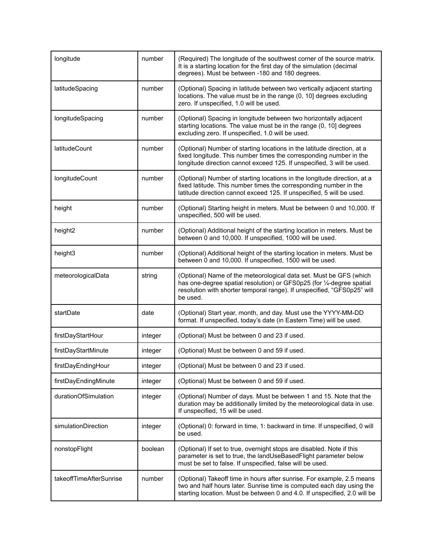| longitude               | number  | (Required) The longitude of the southwest corner of the source matrix.<br>It is a starting location for the first day of the simulation (decimal<br>degrees). Must be between -180 and 180 degrees.                                |
|-------------------------|---------|------------------------------------------------------------------------------------------------------------------------------------------------------------------------------------------------------------------------------------|
| latitudeSpacing         | number  | (Optional) Spacing in latitude between two vertically adjacent starting<br>locations. The value must be in the range (0, 10] degrees excluding<br>zero. If unspecified, 1.0 will be used.                                          |
| longitudeSpacing        | number  | (Optional) Spacing in longitude between two horizontally adjacent<br>starting locations. The value must be in the range (0, 10] degrees<br>excluding zero. If unspecified, 1.0 will be used.                                       |
| latitudeCount           | number  | (Optional) Number of starting locations in the latitude direction, at a<br>fixed longitude. This number times the corresponding number in the<br>longitude direction cannot exceed 125. If unspecified, 3 will be used.            |
| longitudeCount          | number  | (Optional) Number of starting locations in the longitude direction, at a<br>fixed latitude. This number times the corresponding number in the<br>latitude direction cannot exceed 125. If unspecified, 5 will be used.             |
| height                  | number  | (Optional) Starting height in meters. Must be between 0 and 10,000. If<br>unspecified, 500 will be used.                                                                                                                           |
| height <sub>2</sub>     | number  | (Optional) Additional height of the starting location in meters. Must be<br>between 0 and 10,000. If unspecified, 1000 will be used.                                                                                               |
| height3                 | number  | (Optional) Additional height of the starting location in meters. Must be<br>between 0 and 10,000. If unspecified, 1500 will be used.                                                                                               |
| meteorologicalData      | string  | (Optional) Name of the meteorological data set. Must be GFS (which<br>has one-degree spatial resolution) or GFS0p25 (for 1/4-degree spatial<br>resolution with shorter temporal range). If unspecified, "GFS0p25" will<br>be used. |
| startDate               | date    | (Optional) Start year, month, and day. Must use the YYYY-MM-DD<br>format. If unspecified, today's date (in Eastern Time) will be used.                                                                                             |
| firstDayStartHour       | integer | (Optional) Must be between 0 and 23 if used.                                                                                                                                                                                       |
| firstDayStartMinute     | integer | (Optional) Must be between 0 and 59 if used.                                                                                                                                                                                       |
| firstDayEndingHour      | integer | (Optional) Must be between 0 and 23 if used.                                                                                                                                                                                       |
| firstDayEndingMinute    | integer | (Optional) Must be between 0 and 59 if used.                                                                                                                                                                                       |
| durationOfSimulation    | integer | (Optional) Number of days. Must be between 1 and 15. Note that the<br>duration may be additionally limited by the meteorological data in use.<br>If unspecified, 15 will be used.                                                  |
| simulationDirection     | integer | (Optional) 0: forward in time, 1: backward in time. If unspecified, 0 will<br>be used.                                                                                                                                             |
| nonstopFlight           | boolean | (Optional) If set to true, overnight stops are disabled. Note if this<br>parameter is set to true, the landUseBasedFlight parameter below<br>must be set to false. If unspecified, false will be used.                             |
| takeoffTimeAfterSunrise | number  | (Optional) Takeoff time in hours after sunrise. For example, 2.5 means<br>two and half hours later. Sunrise time is computed each day using the<br>starting location. Must be between 0 and 4.0. If unspecified, 2.0 will be       |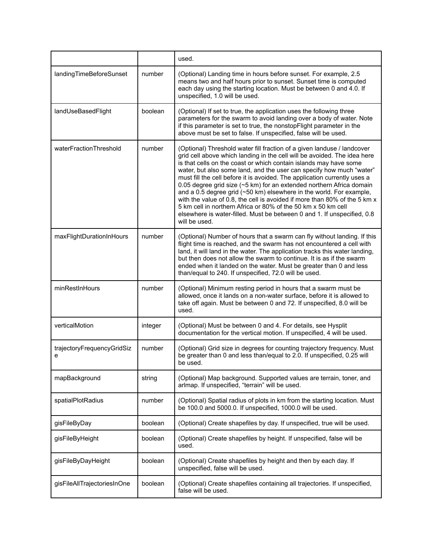|                                 |         | used.                                                                                                                                                                                                                                                                                                                                                                                                                                                                                                                                                                                                                                                                                                                                                                  |
|---------------------------------|---------|------------------------------------------------------------------------------------------------------------------------------------------------------------------------------------------------------------------------------------------------------------------------------------------------------------------------------------------------------------------------------------------------------------------------------------------------------------------------------------------------------------------------------------------------------------------------------------------------------------------------------------------------------------------------------------------------------------------------------------------------------------------------|
| landingTimeBeforeSunset         | number  | (Optional) Landing time in hours before sunset. For example, 2.5<br>means two and half hours prior to sunset. Sunset time is computed<br>each day using the starting location. Must be between 0 and 4.0. If<br>unspecified, 1.0 will be used.                                                                                                                                                                                                                                                                                                                                                                                                                                                                                                                         |
| landUseBasedFlight              | boolean | (Optional) If set to true, the application uses the following three<br>parameters for the swarm to avoid landing over a body of water. Note<br>if this parameter is set to true, the nonstopFlight parameter in the<br>above must be set to false. If unspecified, false will be used.                                                                                                                                                                                                                                                                                                                                                                                                                                                                                 |
| waterFractionThreshold          | number  | (Optional) Threshold water fill fraction of a given landuse / landcover<br>grid cell above which landing in the cell will be avoided. The idea here<br>is that cells on the coast or which contain islands may have some<br>water, but also some land, and the user can specify how much "water"<br>must fill the cell before it is avoided. The application currently uses a<br>0.05 degree grid size (~5 km) for an extended northern Africa domain<br>and a 0.5 degree grid (~50 km) elsewhere in the world. For example,<br>with the value of 0.8, the cell is avoided if more than 80% of the 5 km x<br>5 km cell in northern Africa or 80% of the 50 km x 50 km cell<br>elsewhere is water-filled. Must be between 0 and 1. If unspecified, 0.8<br>will be used. |
| maxFlightDurationInHours        | number  | (Optional) Number of hours that a swarm can fly without landing. If this<br>flight time is reached, and the swarm has not encountered a cell with<br>land, it will land in the water. The application tracks this water landing,<br>but then does not allow the swarm to continue. It is as if the swarm<br>ended when it landed on the water. Must be greater than 0 and less<br>than/equal to 240. If unspecified, 72.0 will be used.                                                                                                                                                                                                                                                                                                                                |
| minRestInHours                  | number  | (Optional) Minimum resting period in hours that a swarm must be<br>allowed, once it lands on a non-water surface, before it is allowed to<br>take off again. Must be between 0 and 72. If unspecified, 8.0 will be<br>used.                                                                                                                                                                                                                                                                                                                                                                                                                                                                                                                                            |
| verticalMotion                  | integer | (Optional) Must be between 0 and 4. For details, see Hysplit<br>documentation for the vertical motion. If unspecified, 4 will be used.                                                                                                                                                                                                                                                                                                                                                                                                                                                                                                                                                                                                                                 |
| trajectoryFrequencyGridSiz<br>e | number  | (Optional) Grid size in degrees for counting trajectory frequency. Must<br>be greater than 0 and less than/equal to 2.0. If unspecified, 0.25 will<br>be used.                                                                                                                                                                                                                                                                                                                                                                                                                                                                                                                                                                                                         |
| mapBackground                   | string  | (Optional) Map background. Supported values are terrain, toner, and<br>arlmap. If unspecified, "terrain" will be used.                                                                                                                                                                                                                                                                                                                                                                                                                                                                                                                                                                                                                                                 |
| spatialPlotRadius               | number  | (Optional) Spatial radius of plots in km from the starting location. Must<br>be 100.0 and 5000.0. If unspecified, 1000.0 will be used.                                                                                                                                                                                                                                                                                                                                                                                                                                                                                                                                                                                                                                 |
| gisFileByDay                    | boolean | (Optional) Create shapefiles by day. If unspecified, true will be used.                                                                                                                                                                                                                                                                                                                                                                                                                                                                                                                                                                                                                                                                                                |
| gisFileByHeight                 | boolean | (Optional) Create shapefiles by height. If unspecified, false will be<br>used.                                                                                                                                                                                                                                                                                                                                                                                                                                                                                                                                                                                                                                                                                         |
| gisFileByDayHeight              | boolean | (Optional) Create shapefiles by height and then by each day. If<br>unspecified, false will be used.                                                                                                                                                                                                                                                                                                                                                                                                                                                                                                                                                                                                                                                                    |
| gisFileAllTrajectoriesInOne     | boolean | (Optional) Create shapefiles containing all trajectories. If unspecified,<br>false will be used.                                                                                                                                                                                                                                                                                                                                                                                                                                                                                                                                                                                                                                                                       |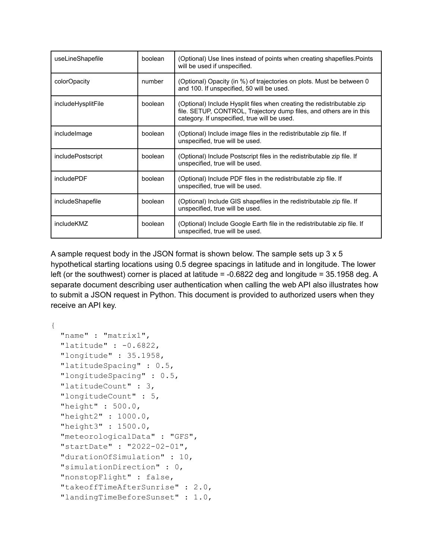| useLineShapefile   | boolean | (Optional) Use lines instead of points when creating shapefiles. Points<br>will be used if unspecified.                                                                                       |
|--------------------|---------|-----------------------------------------------------------------------------------------------------------------------------------------------------------------------------------------------|
| colorOpacity       | number  | (Optional) Opacity (in %) of trajectories on plots. Must be between 0<br>and 100. If unspecified, 50 will be used.                                                                            |
| includeHysplitFile | boolean | (Optional) Include Hysplit files when creating the redistributable zip<br>file. SETUP, CONTROL, Trajectory dump files, and others are in this<br>category. If unspecified, true will be used. |
| include mage       | boolean | (Optional) Include image files in the redistributable zip file. If<br>unspecified, true will be used.                                                                                         |
| includePostscript  | boolean | (Optional) Include Postscript files in the redistributable zip file. If<br>unspecified, true will be used.                                                                                    |
| includePDF         | boolean | (Optional) Include PDF files in the redistributable zip file. If<br>unspecified, true will be used.                                                                                           |
| includeShapefile   | boolean | (Optional) Include GIS shapefiles in the redistributable zip file. If<br>unspecified, true will be used.                                                                                      |
| includeKMZ         | boolean | (Optional) Include Google Earth file in the redistributable zip file. If<br>unspecified, true will be used.                                                                                   |

A sample request body in the JSON format is shown below. The sample sets up  $3 \times 5$ hypothetical starting locations using 0.5 degree spacings in latitude and in longitude. The lower left (or the southwest) corner is placed at latitude = -0.6822 deg and longitude = 35.1958 deg. A separate document describing user authentication when calling the web API also illustrates how to submit a JSON request in Python. This document is provided to authorized users when they receive an API key.

```
{
```

```
"name" : "matrix1",
"latitude" : -0.6822,
"longitude" : 35.1958,
"latitudeSpacing" : 0.5,
"longitudeSpacing" : 0.5,
"latitudeCount" : 3,
"longitudeCount" : 5,
"height" : 500.0,
"height2" : 1000.0,
"height3" : 1500.0,
"meteorologicalData" : "GFS",
"startDate" : "2022-02-01",
"durationOfSimulation" : 10,
"simulationDirection" : 0,
"nonstopFlight" : false,
"takeoffTimeAfterSunrise" : 2.0,
"landingTimeBeforeSunset" : 1.0,
```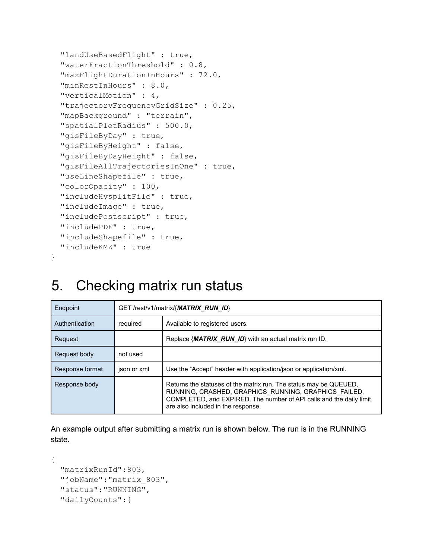```
"landUseBasedFlight" : true,
"waterFractionThreshold" : 0.8,
"maxFlightDurationInHours" : 72.0,
"minRestInHours" : 8.0,
"verticalMotion" : 4,
"trajectoryFrequencyGridSize" : 0.25,
"mapBackground" : "terrain",
"spatialPlotRadius" : 500.0,
"gisFileByDay" : true,
"gisFileByHeight" : false,
"gisFileByDayHeight" : false,
"gisFileAllTrajectoriesInOne" : true,
"useLineShapefile" : true,
"colorOpacity" : 100,
"includeHysplitFile" : true,
"includeImage" : true,
"includePostscript" : true,
"includePDF" : true,
"includeShapefile" : true,
"includeKMZ" : true
```
### 5. Checking matrix run status

}

| Endpoint        | GET/rest/v1/matrix/{MATRIX RUN ID} |                                                                                                                                                                                                                                        |
|-----------------|------------------------------------|----------------------------------------------------------------------------------------------------------------------------------------------------------------------------------------------------------------------------------------|
| Authentication  | required                           | Available to registered users.                                                                                                                                                                                                         |
| Request         |                                    | Replace { <i>MATRIX RUN ID</i> } with an actual matrix run ID.                                                                                                                                                                         |
| Request body    | not used                           |                                                                                                                                                                                                                                        |
| Response format | json or xml                        | Use the "Accept" header with application/json or application/xml.                                                                                                                                                                      |
| Response body   |                                    | Returns the statuses of the matrix run. The status may be QUEUED,<br>RUNNING, CRASHED, GRAPHICS RUNNING, GRAPHICS FAILED,<br>COMPLETED, and EXPIRED. The number of API calls and the daily limit<br>are also included in the response. |

An example output after submitting a matrix run is shown below. The run is in the RUNNING state.

```
{
 "matrixRunId":803,
 "jobName":"matrix_803",
 "status":"RUNNING",
 "dailyCounts":{
```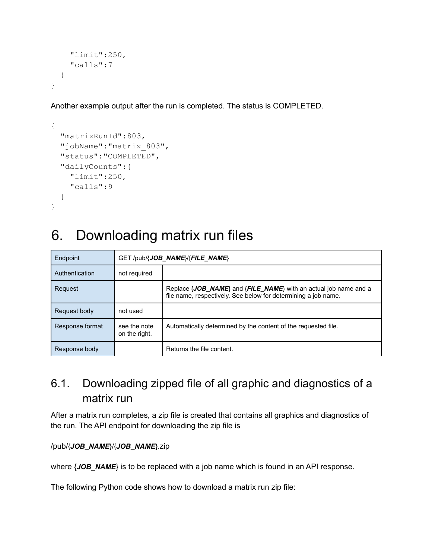```
"limit":250,
    "calls":7
  }
}
```
Another example output after the run is completed. The status is COMPLETED.

```
{
 "matrixRunId":803,
 "jobName":"matrix_803",
  "status":"COMPLETED",
 "dailyCounts":{
    "limit":250,
    "calls":9
 }
}
```
# 6. Downloading matrix run files

| Endpoint        | $GET$ /pub/{ <b>JOB NAME</b> }/{ <b>FILE NAME</b> } |                                                                                                                                                            |
|-----------------|-----------------------------------------------------|------------------------------------------------------------------------------------------------------------------------------------------------------------|
| Authentication  | not required                                        |                                                                                                                                                            |
| Request         |                                                     | Replace $\{JOB \text{ NAME}\}$ and $\{FILE \text{ NAME}\}$ with an actual job name and a<br>file name, respectively. See below for determining a job name. |
| Request body    | not used                                            |                                                                                                                                                            |
| Response format | see the note<br>on the right.                       | Automatically determined by the content of the requested file.                                                                                             |
| Response body   |                                                     | Returns the file content.                                                                                                                                  |

### 6.1. Downloading zipped file of all graphic and diagnostics of a matrix run

After a matrix run completes, a zip file is created that contains all graphics and diagnostics of the run. The API endpoint for downloading the zip file is

#### /pub/{*JOB\_NAME*}/{*JOB\_NAME*}.zip

where {*JOB\_NAME*} is to be replaced with a job name which is found in an API response.

The following Python code shows how to download a matrix run zip file: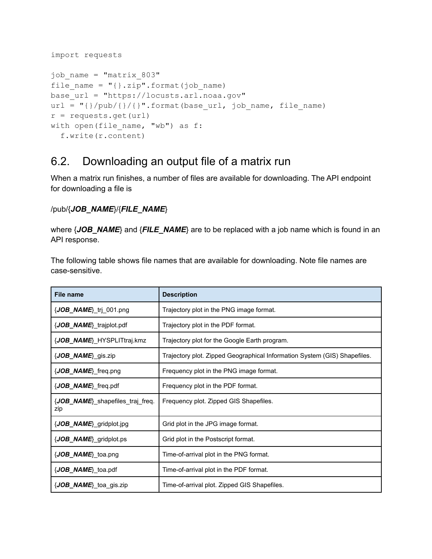```
import requests
job_name = "matrix_803"
file name = "{}}.zip".format(job name)
base_url = "https://locusts.arl.noaa.gov"
url = "\{\} /pub/\{\}/\".format(base url, job name, file name)
r = requests.get(url)
with open(file name, "wb") as f:
  f.write(r.content)
```
#### 6.2. Downloading an output file of a matrix run

When a matrix run finishes, a number of files are available for downloading. The API endpoint for downloading a file is

#### /pub/{*JOB\_NAME*}/{*FILE\_NAME*}

where {*JOB\_NAME*} and {*FILE\_NAME*} are to be replaced with a job name which is found in an API response.

The following table shows file names that are available for downloading. Note file names are case-sensitive.

| <b>File name</b>                        | <b>Description</b>                                                        |
|-----------------------------------------|---------------------------------------------------------------------------|
| {JOB_NAME}_trj_001.png                  | Trajectory plot in the PNG image format.                                  |
| {JOB_NAME}_trajplot.pdf                 | Trajectory plot in the PDF format.                                        |
| {JOB NAME} HYSPLITtraj.kmz              | Trajectory plot for the Google Earth program.                             |
| {JOB_NAME}_gis.zip                      | Trajectory plot. Zipped Geographical Information System (GIS) Shapefiles. |
| $\{JOB\_NAME\}$ freq.png                | Frequency plot in the PNG image format.                                   |
| {JOB_NAME}_freq.pdf                     | Frequency plot in the PDF format.                                         |
| {JOB_NAME}_shapefiles_traj_freq.<br>zip | Frequency plot. Zipped GIS Shapefiles.                                    |
| {JOB_NAME}_gridplot.jpg                 | Grid plot in the JPG image format.                                        |
| $\{JOB\_NAME\}$ gridplot.ps             | Grid plot in the Postscript format.                                       |
| {JOB_NAME}_toa.png                      | Time-of-arrival plot in the PNG format.                                   |
| {JOB_NAME}_toa.pdf                      | Time-of-arrival plot in the PDF format.                                   |
| {JOB_NAME}_toa_gis.zip                  | Time-of-arrival plot. Zipped GIS Shapefiles.                              |